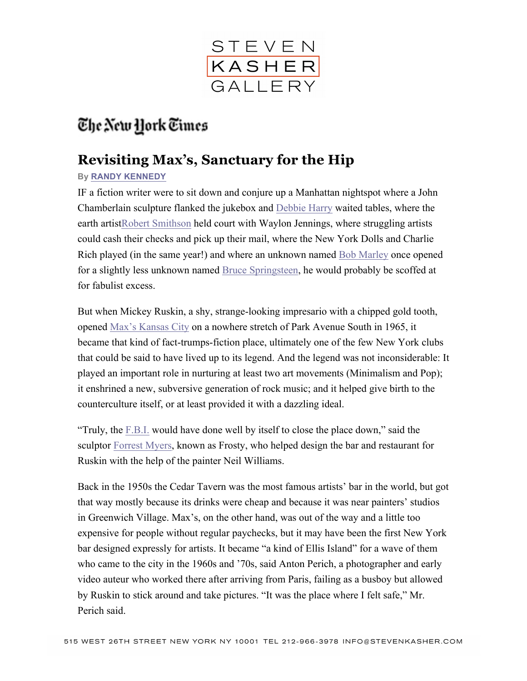

## The New York Times

## **Revisiting Max's, Sanctuary for the Hip**

## **By RANDY KENNEDY**

IF a fiction writer were to sit down and conjure up a Manhattan nightspot where a John Chamberlain sculpture flanked the jukebox and Debbie Harry waited tables, where the earth artistRobert Smithson held court with Waylon Jennings, where struggling artists could cash their checks and pick up their mail, where the New York Dolls and Charlie Rich played (in the same year!) and where an unknown named Bob Marley once opened for a slightly less unknown named Bruce Springsteen, he would probably be scoffed at for fabulist excess.

But when Mickey Ruskin, a shy, strange-looking impresario with a chipped gold tooth, opened Max's Kansas City on a nowhere stretch of Park Avenue South in 1965, it became that kind of fact-trumps-fiction place, ultimately one of the few New York clubs that could be said to have lived up to its legend. And the legend was not inconsiderable: It played an important role in nurturing at least two art movements (Minimalism and Pop); it enshrined a new, subversive generation of rock music; and it helped give birth to the counterculture itself, or at least provided it with a dazzling ideal.

"Truly, the F.B.I. would have done well by itself to close the place down," said the sculptor Forrest Myers, known as Frosty, who helped design the bar and restaurant for Ruskin with the help of the painter Neil Williams.

Back in the 1950s the Cedar Tavern was the most famous artists' bar in the world, but got that way mostly because its drinks were cheap and because it was near painters' studios in Greenwich Village. Max's, on the other hand, was out of the way and a little too expensive for people without regular paychecks, but it may have been the first New York bar designed expressly for artists. It became "a kind of Ellis Island" for a wave of them who came to the city in the 1960s and '70s, said Anton Perich, a photographer and early video auteur who worked there after arriving from Paris, failing as a busboy but allowed by Ruskin to stick around and take pictures. "It was the place where I felt safe," Mr. Perich said.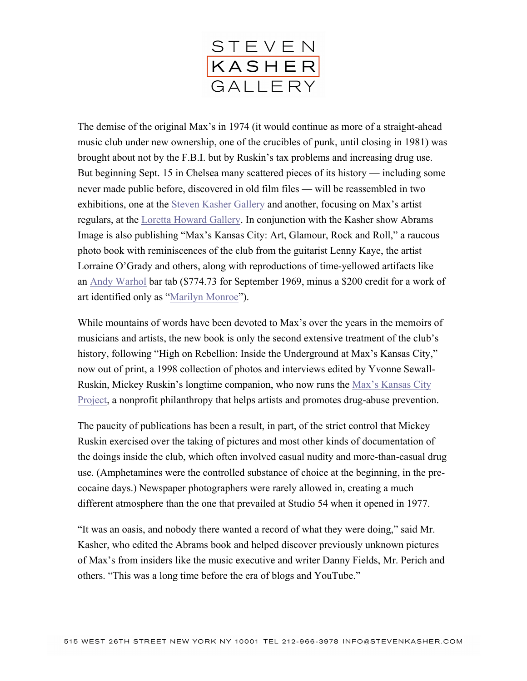

The demise of the original Max's in 1974 (it would continue as more of a straight-ahead music club under new ownership, one of the crucibles of punk, until closing in 1981) was brought about not by the F.B.I. but by Ruskin's tax problems and increasing drug use. But beginning Sept. 15 in Chelsea many scattered pieces of its history — including some never made public before, discovered in old film files — will be reassembled in two exhibitions, one at the Steven Kasher Gallery and another, focusing on Max's artist regulars, at the Loretta Howard Gallery. In conjunction with the Kasher show Abrams Image is also publishing "Max's Kansas City: Art, Glamour, Rock and Roll," a raucous photo book with reminiscences of the club from the guitarist Lenny Kaye, the artist Lorraine O'Grady and others, along with reproductions of time-yellowed artifacts like an Andy Warhol bar tab (\$774.73 for September 1969, minus a \$200 credit for a work of art identified only as "Marilyn Monroe").

While mountains of words have been devoted to Max's over the years in the memoirs of musicians and artists, the new book is only the second extensive treatment of the club's history, following "High on Rebellion: Inside the Underground at Max's Kansas City," now out of print, a 1998 collection of photos and interviews edited by Yvonne Sewall-Ruskin, Mickey Ruskin's longtime companion, who now runs the Max's Kansas City Project, a nonprofit philanthropy that helps artists and promotes drug-abuse prevention.

The paucity of publications has been a result, in part, of the strict control that Mickey Ruskin exercised over the taking of pictures and most other kinds of documentation of the doings inside the club, which often involved casual nudity and more-than-casual drug use. (Amphetamines were the controlled substance of choice at the beginning, in the precocaine days.) Newspaper photographers were rarely allowed in, creating a much different atmosphere than the one that prevailed at Studio 54 when it opened in 1977.

"It was an oasis, and nobody there wanted a record of what they were doing," said Mr. Kasher, who edited the Abrams book and helped discover previously unknown pictures of Max's from insiders like the music executive and writer Danny Fields, Mr. Perich and others. "This was a long time before the era of blogs and YouTube."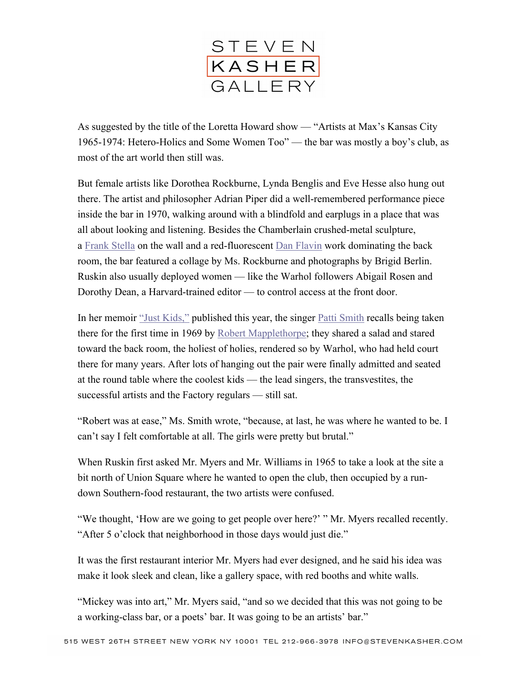

As suggested by the title of the Loretta Howard show — "Artists at Max's Kansas City 1965-1974: Hetero-Holics and Some Women Too" — the bar was mostly a boy's club, as most of the art world then still was.

But female artists like Dorothea Rockburne, Lynda Benglis and Eve Hesse also hung out there. The artist and philosopher Adrian Piper did a well-remembered performance piece inside the bar in 1970, walking around with a blindfold and earplugs in a place that was all about looking and listening. Besides the Chamberlain crushed-metal sculpture, a Frank Stella on the wall and a red-fluorescent Dan Flavin work dominating the back room, the bar featured a collage by Ms. Rockburne and photographs by Brigid Berlin. Ruskin also usually deployed women — like the Warhol followers Abigail Rosen and Dorothy Dean, a Harvard-trained editor — to control access at the front door.

In her memoir "Just Kids," published this year, the singer Patti Smith recalls being taken there for the first time in 1969 by Robert Mapplethorpe; they shared a salad and stared toward the back room, the holiest of holies, rendered so by Warhol, who had held court there for many years. After lots of hanging out the pair were finally admitted and seated at the round table where the coolest kids — the lead singers, the transvestites, the successful artists and the Factory regulars — still sat.

"Robert was at ease," Ms. Smith wrote, "because, at last, he was where he wanted to be. I can't say I felt comfortable at all. The girls were pretty but brutal."

When Ruskin first asked Mr. Myers and Mr. Williams in 1965 to take a look at the site a bit north of Union Square where he wanted to open the club, then occupied by a rundown Southern-food restaurant, the two artists were confused.

"We thought, 'How are we going to get people over here?' " Mr. Myers recalled recently. "After 5 o'clock that neighborhood in those days would just die."

It was the first restaurant interior Mr. Myers had ever designed, and he said his idea was make it look sleek and clean, like a gallery space, with red booths and white walls.

"Mickey was into art," Mr. Myers said, "and so we decided that this was not going to be a working-class bar, or a poets' bar. It was going to be an artists' bar."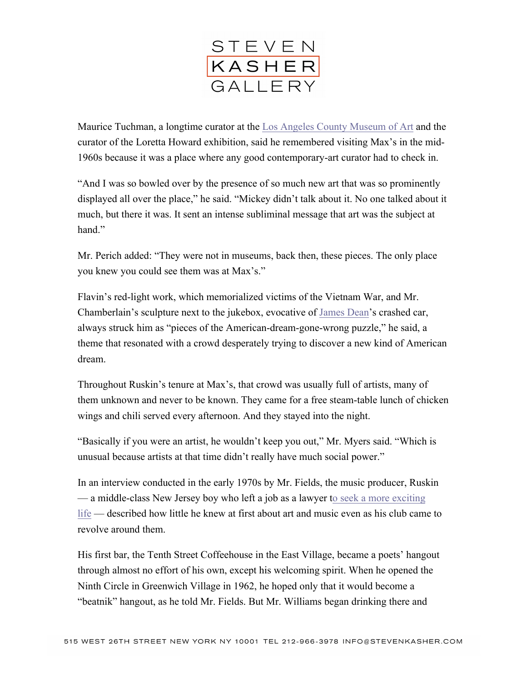

Maurice Tuchman, a longtime curator at the Los Angeles County Museum of Art and the curator of the Loretta Howard exhibition, said he remembered visiting Max's in the mid-1960s because it was a place where any good contemporary-art curator had to check in.

"And I was so bowled over by the presence of so much new art that was so prominently displayed all over the place," he said. "Mickey didn't talk about it. No one talked about it much, but there it was. It sent an intense subliminal message that art was the subject at hand"

Mr. Perich added: "They were not in museums, back then, these pieces. The only place you knew you could see them was at Max's."

Flavin's red-light work, which memorialized victims of the Vietnam War, and Mr. Chamberlain's sculpture next to the jukebox, evocative of James Dean's crashed car, always struck him as "pieces of the American-dream-gone-wrong puzzle," he said, a theme that resonated with a crowd desperately trying to discover a new kind of American dream.

Throughout Ruskin's tenure at Max's, that crowd was usually full of artists, many of them unknown and never to be known. They came for a free steam-table lunch of chicken wings and chili served every afternoon. And they stayed into the night.

"Basically if you were an artist, he wouldn't keep you out," Mr. Myers said. "Which is unusual because artists at that time didn't really have much social power."

In an interview conducted in the early 1970s by Mr. Fields, the music producer, Ruskin — a middle-class New Jersey boy who left a job as a lawyer to seek a more exciting life — described how little he knew at first about art and music even as his club came to revolve around them.

His first bar, the Tenth Street Coffeehouse in the East Village, became a poets' hangout through almost no effort of his own, except his welcoming spirit. When he opened the Ninth Circle in Greenwich Village in 1962, he hoped only that it would become a "beatnik" hangout, as he told Mr. Fields. But Mr. Williams began drinking there and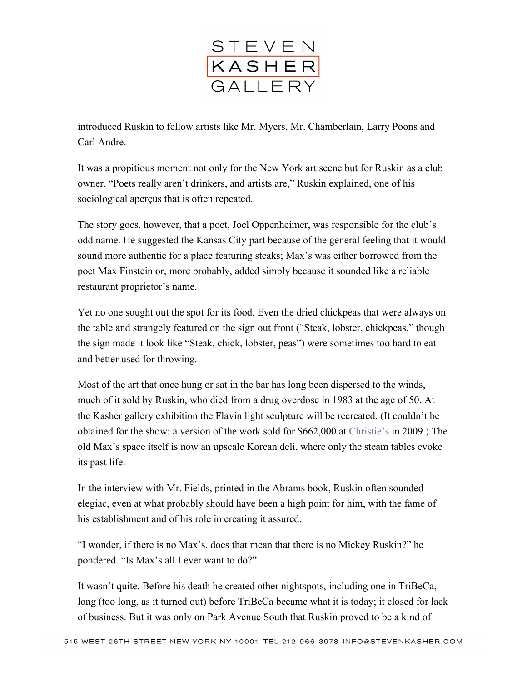

introduced Ruskin to fellow artists like Mr. Myers, Mr. Chamberlain, Larry Poons and Carl Andre.

It was a propitious moment not only for the New York art scene but for Ruskin as a club owner. "Poets really aren't drinkers, and artists are," Ruskin explained, one of his sociological aperçus that is often repeated.

The story goes, however, that a poet, Joel Oppenheimer, was responsible for the club's odd name. He suggested the Kansas City part because of the general feeling that it would sound more authentic for a place featuring steaks; Max's was either borrowed from the poet Max Finstein or, more probably, added simply because it sounded like a reliable restaurant proprietor's name.

Yet no one sought out the spot for its food. Even the dried chickpeas that were always on the table and strangely featured on the sign out front ("Steak, lobster, chickpeas," though the sign made it look like "Steak, chick, lobster, peas") were sometimes too hard to eat and better used for throwing.

Most of the art that once hung or sat in the bar has long been dispersed to the winds, much of it sold by Ruskin, who died from a drug overdose in 1983 at the age of 50. At the Kasher gallery exhibition the Flavin light sculpture will be recreated. (It couldn't be obtained for the show; a version of the work sold for \$662,000 at Christie's in 2009.) The old Max's space itself is now an upscale Korean deli, where only the steam tables evoke its past life.

In the interview with Mr. Fields, printed in the Abrams book, Ruskin often sounded elegiac, even at what probably should have been a high point for him, with the fame of his establishment and of his role in creating it assured.

"I wonder, if there is no Max's, does that mean that there is no Mickey Ruskin?" he pondered. "Is Max's all I ever want to do?"

It wasn't quite. Before his death he created other nightspots, including one in TriBeCa, long (too long, as it turned out) before TriBeCa became what it is today; it closed for lack of business. But it was only on Park Avenue South that Ruskin proved to be a kind of